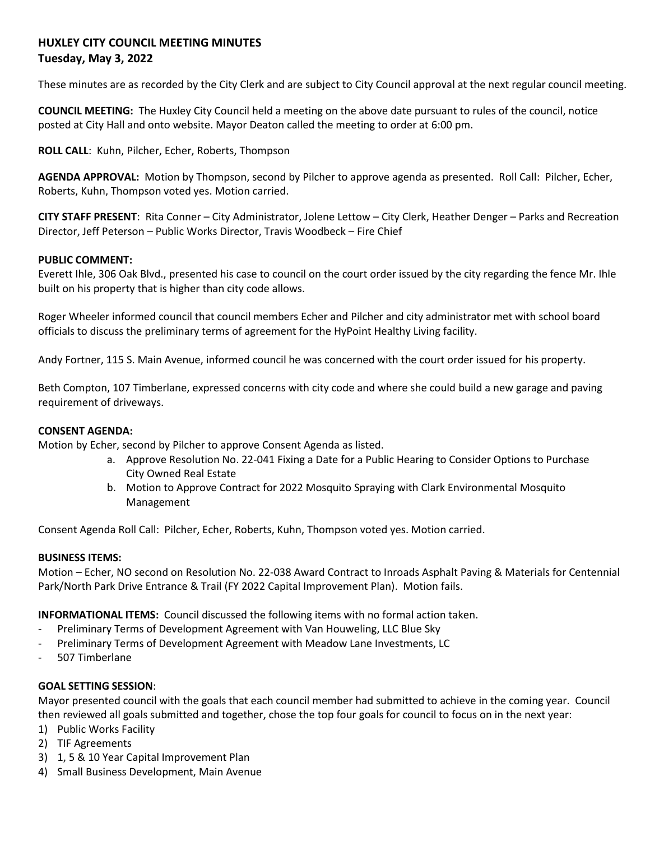# **HUXLEY CITY COUNCIL MEETING MINUTES Tuesday, May 3, 2022**

These minutes are as recorded by the City Clerk and are subject to City Council approval at the next regular council meeting.

**COUNCIL MEETING:** The Huxley City Council held a meeting on the above date pursuant to rules of the council, notice posted at City Hall and onto website. Mayor Deaton called the meeting to order at 6:00 pm.

**ROLL CALL**: Kuhn, Pilcher, Echer, Roberts, Thompson

**AGENDA APPROVAL:** Motion by Thompson, second by Pilcher to approve agenda as presented. Roll Call: Pilcher, Echer, Roberts, Kuhn, Thompson voted yes. Motion carried.

**CITY STAFF PRESENT**: Rita Conner – City Administrator, Jolene Lettow – City Clerk, Heather Denger – Parks and Recreation Director, Jeff Peterson – Public Works Director, Travis Woodbeck – Fire Chief

### **PUBLIC COMMENT:**

Everett Ihle, 306 Oak Blvd., presented his case to council on the court order issued by the city regarding the fence Mr. Ihle built on his property that is higher than city code allows.

Roger Wheeler informed council that council members Echer and Pilcher and city administrator met with school board officials to discuss the preliminary terms of agreement for the HyPoint Healthy Living facility.

Andy Fortner, 115 S. Main Avenue, informed council he was concerned with the court order issued for his property.

Beth Compton, 107 Timberlane, expressed concerns with city code and where she could build a new garage and paving requirement of driveways.

#### **CONSENT AGENDA:**

Motion by Echer, second by Pilcher to approve Consent Agenda as listed.

- a. Approve Resolution No. 22-041 Fixing a Date for a Public Hearing to Consider Options to Purchase City Owned Real Estate
- b. Motion to Approve Contract for 2022 Mosquito Spraying with Clark Environmental Mosquito Management

Consent Agenda Roll Call: Pilcher, Echer, Roberts, Kuhn, Thompson voted yes. Motion carried.

#### **BUSINESS ITEMS:**

Motion – Echer, NO second on Resolution No. 22-038 Award Contract to Inroads Asphalt Paving & Materials for Centennial Park/North Park Drive Entrance & Trail (FY 2022 Capital Improvement Plan). Motion fails.

**INFORMATIONAL ITEMS:** Council discussed the following items with no formal action taken.

- Preliminary Terms of Development Agreement with Van Houweling, LLC Blue Sky
- Preliminary Terms of Development Agreement with Meadow Lane Investments, LC
- 507 Timberlane

## **GOAL SETTING SESSION**:

Mayor presented council with the goals that each council member had submitted to achieve in the coming year. Council then reviewed all goals submitted and together, chose the top four goals for council to focus on in the next year:

- 1) Public Works Facility
- 2) TIF Agreements
- 3) 1, 5 & 10 Year Capital Improvement Plan
- 4) Small Business Development, Main Avenue